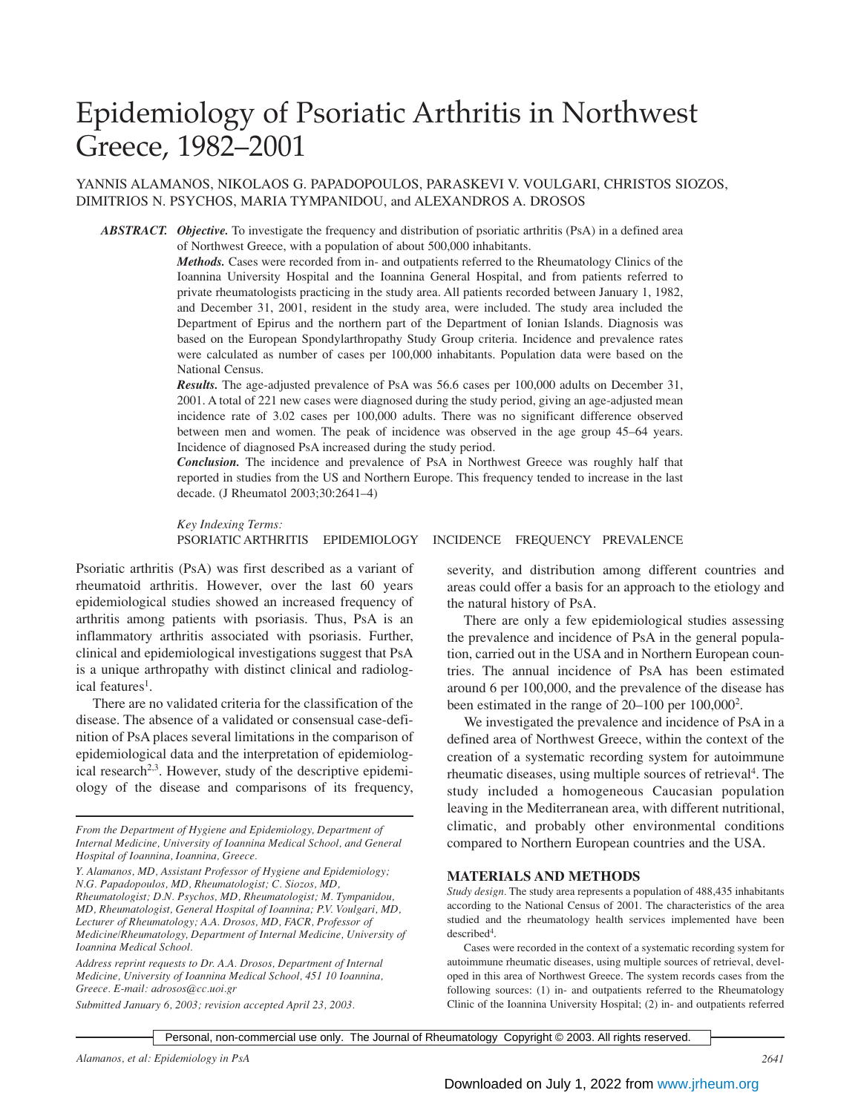# Epidemiology of Psoriatic Arthritis in Northwest Greece, 1982–2001

## YANNIS ALAMANOS, NIKOLAOS G. PAPADOPOULOS, PARASKEVI V. VOULGARI, CHRISTOS SIOZOS, DIMITRIOS N. PSYCHOS, MARIA TYMPANIDOU, and ALEXANDROS A. DROSOS

*ABSTRACT. Objective.* To investigate the frequency and distribution of psoriatic arthritis (PsA) in a defined area of Northwest Greece, with a population of about 500,000 inhabitants.

> *Methods.* Cases were recorded from in- and outpatients referred to the Rheumatology Clinics of the Ioannina University Hospital and the Ioannina General Hospital, and from patients referred to private rheumatologists practicing in the study area. All patients recorded between January 1, 1982, and December 31, 2001, resident in the study area, were included. The study area included the Department of Epirus and the northern part of the Department of Ionian Islands. Diagnosis was based on the European Spondylarthropathy Study Group criteria. Incidence and prevalence rates were calculated as number of cases per 100,000 inhabitants. Population data were based on the National Census.

> *Results.* The age-adjusted prevalence of PsA was 56.6 cases per 100,000 adults on December 31, 2001. A total of 221 new cases were diagnosed during the study period, giving an age-adjusted mean incidence rate of 3.02 cases per 100,000 adults. There was no significant difference observed between men and women. The peak of incidence was observed in the age group 45–64 years. Incidence of diagnosed PsA increased during the study period.

> *Conclusion.* The incidence and prevalence of PsA in Northwest Greece was roughly half that reported in studies from the US and Northern Europe. This frequency tended to increase in the last decade. (J Rheumatol 2003;30:2641–4)

> *Key Indexing Terms:* PSORIATIC ARTHRITIS EPIDEMIOLOGY INCIDENCE FREQUENCY PREVALENCE

Psoriatic arthritis (PsA) was first described as a variant of rheumatoid arthritis. However, over the last 60 years epidemiological studies showed an increased frequency of arthritis among patients with psoriasis. Thus, PsA is an inflammatory arthritis associated with psoriasis. Further, clinical and epidemiological investigations suggest that PsA is a unique arthropathy with distinct clinical and radiological features<sup>1</sup>.

There are no validated criteria for the classification of the disease. The absence of a validated or consensual case-definition of PsA places several limitations in the comparison of epidemiological data and the interpretation of epidemiological research<sup>2,3</sup>. However, study of the descriptive epidemiology of the disease and comparisons of its frequency,

*From the Department of Hygiene and Epidemiology, Department of Internal Medicine, University of Ioannina Medical School, and General Hospital of Ioannina, Ioannina, Greece.*

*Y. Alamanos, MD, Assistant Professor of Hygiene and Epidemiology; N.G. Papadopoulos, MD, Rheumatologist; C. Siozos, MD,*

*Rheumatologist; D.N. Psychos, MD, Rheumatologist; M. Tympanidou, MD, Rheumatologist, General Hospital of Ioannina; P.V. Voulgari, MD, Lecturer of Rheumatology; A.A. Drosos, MD, FACR, Professor of Medicine/Rheumatology, Department of Internal Medicine, University of Ioannina Medical School.*

*Address reprint requests to Dr. A.A. Drosos, Department of Internal Medicine, University of Ioannina Medical School, 451 10 Ioannina, Greece. E-mail: adrosos@cc.uoi.gr*

*Submitted January 6, 2003; revision accepted April 23, 2003.*

severity, and distribution among different countries and areas could offer a basis for an approach to the etiology and the natural history of PsA.

There are only a few epidemiological studies assessing the prevalence and incidence of PsA in the general population, carried out in the USA and in Northern European countries. The annual incidence of PsA has been estimated around 6 per 100,000, and the prevalence of the disease has been estimated in the range of 20–100 per 100,000<sup>2</sup>.

We investigated the prevalence and incidence of PsA in a defined area of Northwest Greece, within the context of the creation of a systematic recording system for autoimmune rheumatic diseases, using multiple sources of retrieval<sup>4</sup>. The study included a homogeneous Caucasian population leaving in the Mediterranean area, with different nutritional, climatic, and probably other environmental conditions compared to Northern European countries and the USA.

#### **MATERIALS AND METHODS**

*Study design.* The study area represents a population of 488,435 inhabitants according to the National Census of 2001. The characteristics of the area studied and the rheumatology health services implemented have been described4 .

Cases were recorded in the context of a systematic recording system for autoimmune rheumatic diseases, using multiple sources of retrieval, developed in this area of Northwest Greece. The system records cases from the following sources: (1) in- and outpatients referred to the Rheumatology Clinic of the Ioannina University Hospital; (2) in- and outpatients referred

Personal, non-commercial use only. The Journal of Rheumatology Copyright © 2003. All rights reserved.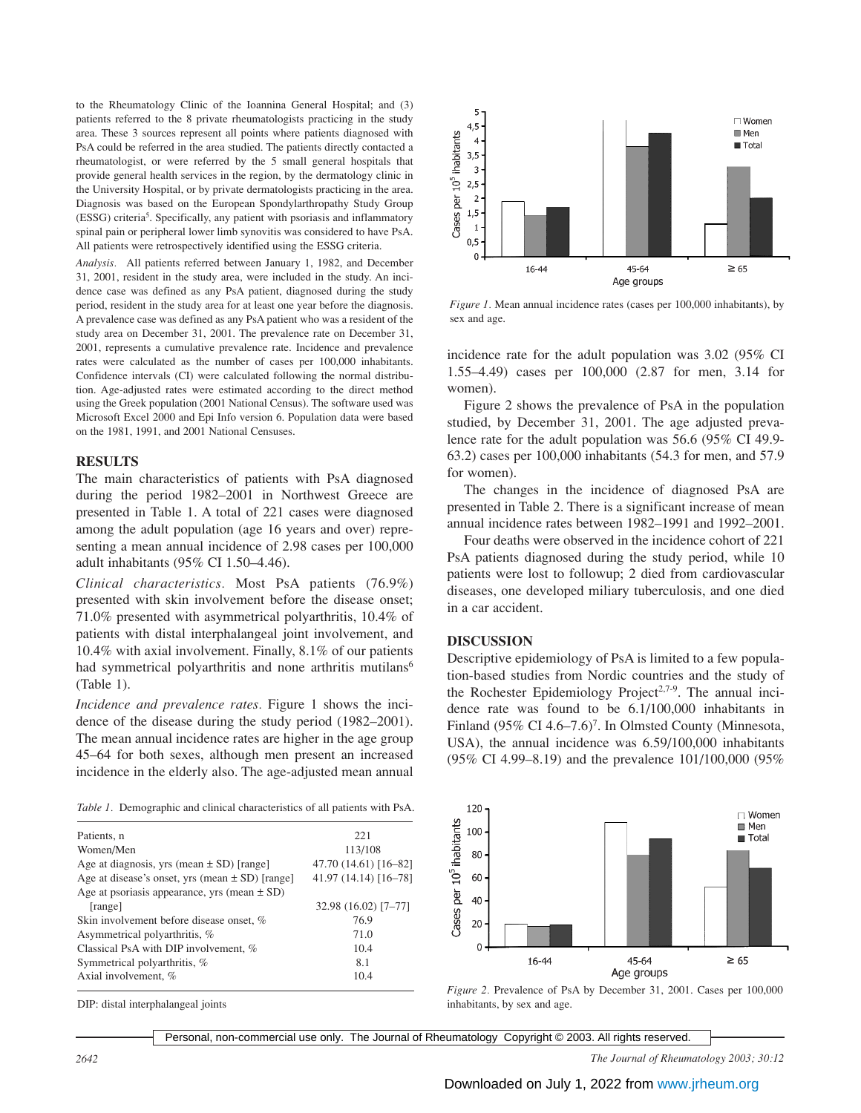to the Rheumatology Clinic of the Ioannina General Hospital; and (3) patients referred to the 8 private rheumatologists practicing in the study area. These 3 sources represent all points where patients diagnosed with PsA could be referred in the area studied. The patients directly contacted a rheumatologist, or were referred by the 5 small general hospitals that provide general health services in the region, by the dermatology clinic in the University Hospital, or by private dermatologists practicing in the area. Diagnosis was based on the European Spondylarthropathy Study Group (ESSG) criteria5 . Specifically, any patient with psoriasis and inflammatory spinal pain or peripheral lower limb synovitis was considered to have PsA. All patients were retrospectively identified using the ESSG criteria.

*Analysis.* All patients referred between January 1, 1982, and December 31, 2001, resident in the study area, were included in the study. An incidence case was defined as any PsA patient, diagnosed during the study period, resident in the study area for at least one year before the diagnosis. A prevalence case was defined as any PsA patient who was a resident of the study area on December 31, 2001. The prevalence rate on December 31, 2001, represents a cumulative prevalence rate. Incidence and prevalence rates were calculated as the number of cases per 100,000 inhabitants. Confidence intervals (CI) were calculated following the normal distribution. Age-adjusted rates were estimated according to the direct method using the Greek population (2001 National Census). The software used was Microsoft Excel 2000 and Epi Info version 6. Population data were based on the 1981, 1991, and 2001 National Censuses.

#### **RESULTS**

The main characteristics of patients with PsA diagnosed during the period 1982–2001 in Northwest Greece are presented in Table 1. A total of 221 cases were diagnosed among the adult population (age 16 years and over) representing a mean annual incidence of 2.98 cases per 100,000 adult inhabitants (95% CI 1.50–4.46).

*Clinical characteristics.* Most PsA patients (76.9%) presented with skin involvement before the disease onset; 71.0% presented with asymmetrical polyarthritis, 10.4% of patients with distal interphalangeal joint involvement, and 10.4% with axial involvement. Finally, 8.1% of our patients had symmetrical polyarthritis and none arthritis mutilans<sup>6</sup> (Table 1).

*Incidence and prevalence rates.* Figure 1 shows the incidence of the disease during the study period (1982–2001). The mean annual incidence rates are higher in the age group 45–64 for both sexes, although men present an increased incidence in the elderly also. The age-adjusted mean annual



| Patients, n                                         | 22.1                  |
|-----------------------------------------------------|-----------------------|
| Women/Men                                           | 113/108               |
| Age at diagnosis, yrs (mean $\pm$ SD) [range]       | 47.70 (14.61) [16-82] |
| Age at disease's onset, yrs (mean $\pm$ SD) [range] | $41.97(14.14)[16-78]$ |
| Age at psoriasis appearance, yrs (mean $\pm$ SD)    |                       |
| [range]                                             | 32.98 (16.02) [7-77]  |
| Skin involvement before disease onset, %            | 76.9                  |
| Asymmetrical polyarthritis, %                       | 71.0                  |
| Classical PsA with DIP involvement, %               | 10.4                  |
| Symmetrical polyarthritis, %                        | 8.1                   |
| Axial involvement, %                                | 10.4                  |
|                                                     |                       |

DIP: distal interphalangeal joints



*Figure 1.* Mean annual incidence rates (cases per 100,000 inhabitants), by sex and age.

incidence rate for the adult population was 3.02 (95% CI 1.55–4.49) cases per 100,000 (2.87 for men, 3.14 for women).

Figure 2 shows the prevalence of PsA in the population studied, by December 31, 2001. The age adjusted prevalence rate for the adult population was 56.6 (95% CI 49.9- 63.2) cases per 100,000 inhabitants (54.3 for men, and 57.9 for women).

The changes in the incidence of diagnosed PsA are presented in Table 2. There is a significant increase of mean annual incidence rates between 1982–1991 and 1992–2001.

Four deaths were observed in the incidence cohort of 221 PsA patients diagnosed during the study period, while 10 patients were lost to followup; 2 died from cardiovascular diseases, one developed miliary tuberculosis, and one died in a car accident.

#### **DISCUSSION**

Descriptive epidemiology of PsA is limited to a few population-based studies from Nordic countries and the study of the Rochester Epidemiology Project<sup>2,7-9</sup>. The annual incidence rate was found to be 6.1/100,000 inhabitants in Finland (95% CI 4.6–7.6)<sup>7</sup>. In Olmsted County (Minnesota, USA), the annual incidence was 6.59/100,000 inhabitants (95% CI 4.99–8.19) and the prevalence 101/100,000 (95%





Personal, non-commercial use only. The Journal of Rheumatology Copyright © 2003. All rights reserved.

*2642 The Journal of Rheumatology 2003; 30:12*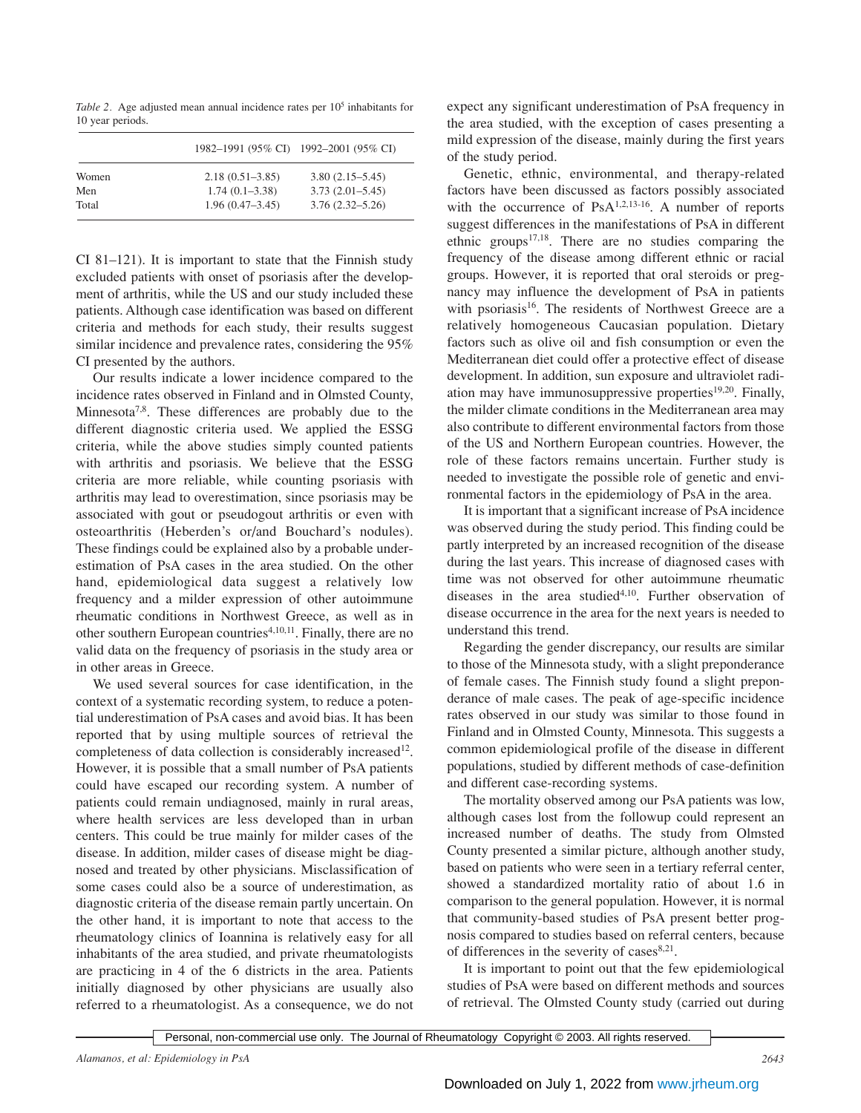*Table 2.* Age adjusted mean annual incidence rates per 10<sup>5</sup> inhabitants for 10 year periods.

|       |                     | 1982–1991 (95% CI) 1992–2001 (95% CI) |
|-------|---------------------|---------------------------------------|
| Women | $2.18(0.51 - 3.85)$ | $3.80(2.15 - 5.45)$                   |
| Men   | $1.74(0.1 - 3.38)$  | $3.73(2.01 - 5.45)$                   |
| Total | $1.96(0.47-3.45)$   | $3.76(2.32 - 5.26)$                   |

CI 81–121). It is important to state that the Finnish study excluded patients with onset of psoriasis after the development of arthritis, while the US and our study included these patients. Although case identification was based on different criteria and methods for each study, their results suggest similar incidence and prevalence rates, considering the 95% CI presented by the authors.

Our results indicate a lower incidence compared to the incidence rates observed in Finland and in Olmsted County, Minnesota<sup>7,8</sup>. These differences are probably due to the different diagnostic criteria used. We applied the ESSG criteria, while the above studies simply counted patients with arthritis and psoriasis. We believe that the ESSG criteria are more reliable, while counting psoriasis with arthritis may lead to overestimation, since psoriasis may be associated with gout or pseudogout arthritis or even with osteoarthritis (Heberden's or/and Bouchard's nodules). These findings could be explained also by a probable underestimation of PsA cases in the area studied. On the other hand, epidemiological data suggest a relatively low frequency and a milder expression of other autoimmune rheumatic conditions in Northwest Greece, as well as in other southern European countries<sup>4,10,11</sup>. Finally, there are no valid data on the frequency of psoriasis in the study area or in other areas in Greece.

We used several sources for case identification, in the context of a systematic recording system, to reduce a potential underestimation of PsA cases and avoid bias. It has been reported that by using multiple sources of retrieval the completeness of data collection is considerably increased<sup>12</sup>. However, it is possible that a small number of PsA patients could have escaped our recording system. A number of patients could remain undiagnosed, mainly in rural areas, where health services are less developed than in urban centers. This could be true mainly for milder cases of the disease. In addition, milder cases of disease might be diagnosed and treated by other physicians. Misclassification of some cases could also be a source of underestimation, as diagnostic criteria of the disease remain partly uncertain. On the other hand, it is important to note that access to the rheumatology clinics of Ioannina is relatively easy for all inhabitants of the area studied, and private rheumatologists are practicing in 4 of the 6 districts in the area. Patients initially diagnosed by other physicians are usually also referred to a rheumatologist. As a consequence, we do not

expect any significant underestimation of PsA frequency in the area studied, with the exception of cases presenting a mild expression of the disease, mainly during the first years of the study period.

Genetic, ethnic, environmental, and therapy-related factors have been discussed as factors possibly associated with the occurrence of  $PsA^{1,2,13-16}$ . A number of reports suggest differences in the manifestations of PsA in different ethnic groups $17,18$ . There are no studies comparing the frequency of the disease among different ethnic or racial groups. However, it is reported that oral steroids or pregnancy may influence the development of PsA in patients with psoriasis<sup>16</sup>. The residents of Northwest Greece are a relatively homogeneous Caucasian population. Dietary factors such as olive oil and fish consumption or even the Mediterranean diet could offer a protective effect of disease development. In addition, sun exposure and ultraviolet radiation may have immunosuppressive properties<sup>19,20</sup>. Finally, the milder climate conditions in the Mediterranean area may also contribute to different environmental factors from those of the US and Northern European countries. However, the role of these factors remains uncertain. Further study is needed to investigate the possible role of genetic and environmental factors in the epidemiology of PsA in the area.

It is important that a significant increase of PsA incidence was observed during the study period. This finding could be partly interpreted by an increased recognition of the disease during the last years. This increase of diagnosed cases with time was not observed for other autoimmune rheumatic diseases in the area studied<sup>4,10</sup>. Further observation of disease occurrence in the area for the next years is needed to understand this trend.

Regarding the gender discrepancy, our results are similar to those of the Minnesota study, with a slight preponderance of female cases. The Finnish study found a slight preponderance of male cases. The peak of age-specific incidence rates observed in our study was similar to those found in Finland and in Olmsted County, Minnesota. This suggests a common epidemiological profile of the disease in different populations, studied by different methods of case-definition and different case-recording systems.

The mortality observed among our PsA patients was low, although cases lost from the followup could represent an increased number of deaths. The study from Olmsted County presented a similar picture, although another study, based on patients who were seen in a tertiary referral center, showed a standardized mortality ratio of about 1.6 in comparison to the general population. However, it is normal that community-based studies of PsA present better prognosis compared to studies based on referral centers, because of differences in the severity of cases $8,21$ .

It is important to point out that the few epidemiological studies of PsA were based on different methods and sources of retrieval. The Olmsted County study (carried out during